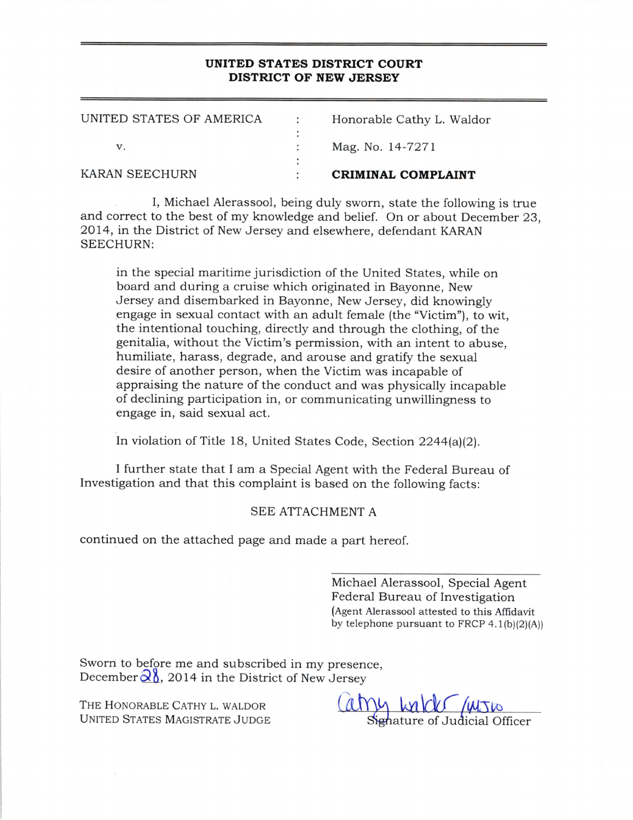## UNITED STATES DISTRICT COURT DISTRICT OF NEW JERSEY

| KARAN SEECHURN           | CRIMINAL COMPLAINT        |
|--------------------------|---------------------------|
|                          |                           |
|                          | Mag. No. 14-7271          |
|                          |                           |
| UNITED STATES OF AMERICA | Honorable Cathy L. Waldor |

I, Michael Alerassool, being duly sworn, state the following is true and correct to the best of my knowledge and belief. On or about December 23, 2OL4, in the District of New Jersey and elsewhere, defendant KARAN SEECHURN:

in the special maritime jurisdiction of the United States, while on board and during a cruise which originated in Bayonne, New Jersey and disembarked in Bayonne, New Jersey, did knowingly engage in sexual contact with an adult female (the "Victim"), to wit, the intentional touching, directly and through the clothing, of the genitalia, without the Victim's permission, with an intent to abuse, humiliate, harass, degrade, and arouse and gratify the sexual desire of another person, when the Victim was incapable of appraising the nature of the conduct and was physically incapable of declining participation in, or communicating unwillingness to engage in, said sexual act.

In violation of Title 18, United States Code, Section 2244(a)(2).

I further state that I am a Special Agent with the Federal Bureau of Investigation and that this complaint is based on the following facts:

## SEE ATTACHMENT A

continued on the attached page and made a part hereof.

Michael Alerassool, Special Agent Federal Bureau of Investigation (Agent Alerassool attested to this Affidavit by telephone pursuant to FRCP  $4.1(b)(2)(A)$ 

Sworn to before me and subscribed in my presence December $\frac{\partial \delta}{\partial \lambda}$ , 2014 in the District of New Jersey

THE HONORABLE CATHY L. WALDOR THE HONORABLE CATHY L. WALDOR<br>UNITED STATES MAGISTRATE JUDGE Signature of Judicial Officer